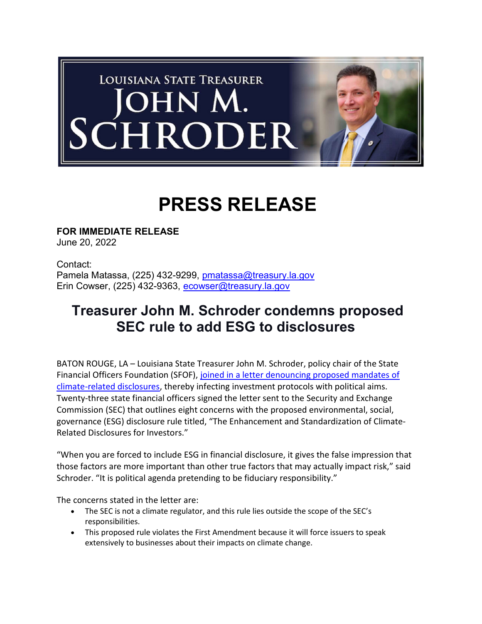

## PRESS RELEASE

FOR IMMEDIATE RELEASE June 20, 2022

Contact: Pamela Matassa, (225) 432-9299, pmatassa@treasury.la.gov Erin Cowser, (225) 432-9363, ecowser@treasury.la.gov

## Treasurer John M. Schroder condemns proposed SEC rule to add ESG to disclosures

BATON ROUGE, LA – Louisiana State Treasurer John M. Schroder, policy chair of the State Financial Officers Foundation (SFOF), joined in a letter denouncing proposed mandates of climate-related disclosures, thereby infecting investment protocols with political aims. Twenty-three state financial officers signed the letter sent to the Security and Exchange Commission (SEC) that outlines eight concerns with the proposed environmental, social, governance (ESG) disclosure rule titled, "The Enhancement and Standardization of Climate-Related Disclosures for Investors."

"When you are forced to include ESG in financial disclosure, it gives the false impression that those factors are more important than other true factors that may actually impact risk," said Schroder. "It is political agenda pretending to be fiduciary responsibility."

The concerns stated in the letter are:

- The SEC is not a climate regulator, and this rule lies outside the scope of the SEC's responsibilities.
- This proposed rule violates the First Amendment because it will force issuers to speak extensively to businesses about their impacts on climate change.